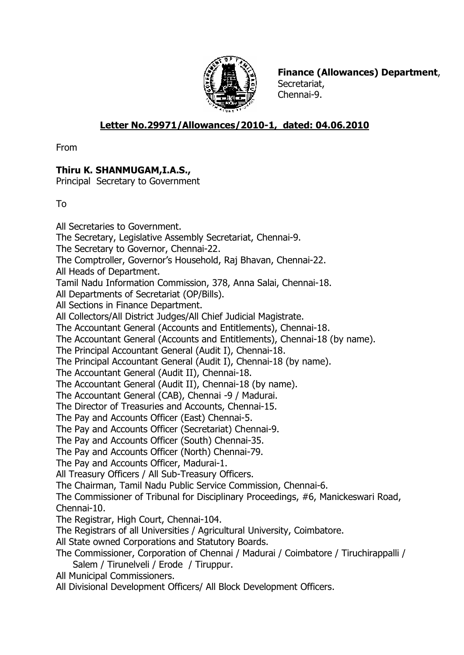

**Finance (Allowances) Department**, Secretariat, Chennai-9.

## **Letter No.29971/Allowances/2010-1, dated: 04.06.2010**

From

## **Thiru K. SHANMUGAM,I.A.S.,**

Principal Secretary to Government

To

All Secretaries to Government. The Secretary, Legislative Assembly Secretariat, Chennai-9. The Secretary to Governor, Chennai-22. The Comptroller, Governor's Household, Raj Bhavan, Chennai-22. All Heads of Department. Tamil Nadu Information Commission, 378, Anna Salai, Chennai-18. All Departments of Secretariat (OP/Bills). All Sections in Finance Department. All Collectors/All District Judges/All Chief Judicial Magistrate. The Accountant General (Accounts and Entitlements), Chennai-18. The Accountant General (Accounts and Entitlements), Chennai-18 (by name). The Principal Accountant General (Audit I), Chennai-18. The Principal Accountant General (Audit I), Chennai-18 (by name). The Accountant General (Audit II), Chennai-18. The Accountant General (Audit II), Chennai-18 (by name). The Accountant General (CAB), Chennai -9 / Madurai. The Director of Treasuries and Accounts, Chennai-15. The Pay and Accounts Officer (East) Chennai-5. The Pay and Accounts Officer (Secretariat) Chennai-9. The Pay and Accounts Officer (South) Chennai-35. The Pay and Accounts Officer (North) Chennai-79. The Pay and Accounts Officer, Madurai-1. All Treasury Officers / All Sub-Treasury Officers. The Chairman, Tamil Nadu Public Service Commission, Chennai-6. The Commissioner of Tribunal for Disciplinary Proceedings, #6, Manickeswari Road, Chennai-10. The Registrar, High Court, Chennai-104. The Registrars of all Universities / Agricultural University, Coimbatore. All State owned Corporations and Statutory Boards. The Commissioner, Corporation of Chennai / Madurai / Coimbatore / Tiruchirappalli / Salem / Tirunelveli / Erode / Tiruppur. All Municipal Commissioners. All Divisional Development Officers/ All Block Development Officers.